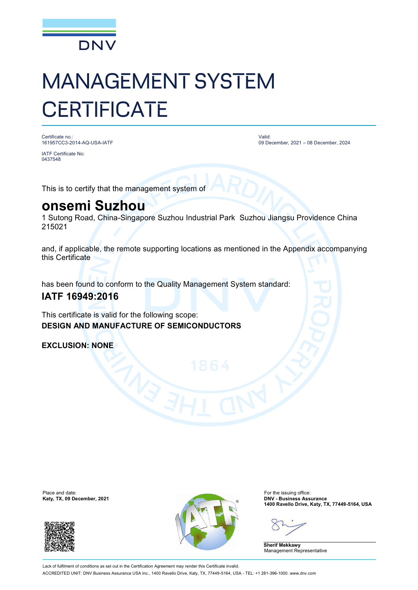

# MANAGEMENT SYSTEM **CERTIFICATE**

Certificate no.: 161957CC3-2014-AQ-USA-IATF

Valid: 09 December, 2021 – 08 December, 2024

IATF Certificate No: 0437548

This is to certify that the management system of

## **onsemi Suzhou**

1 Sutong Road, China-Singapore Suzhou Industrial Park Suzhou Jiangsu Providence China 215021

and, if applicable, the remote supporting locations as mentioned in the Appendix accompanying this Certificate

has been found to conform to the Quality Management System standard:

### **IATF 16949:2016**

This certificate is valid for the following scope: **DESIGN AND MANUFACTURE OF SEMICONDUCTORS**

**EXCLUSION: NONE**





**1400 Ravello Drive, Katy, TX, 77449-5164, USA**

**Sherif Mekkawy** Management Representative

Lack of fulfilment of conditions as set out in the Certification Agreement may render this Certificate invalid ACCREDITED UNIT: DNV Business Assurance USA Inc., 1400 Ravello Drive, Katy, TX, 77449-5164, USA - TEL: +1 281-396-1000. [www.dnv.com](http://www.dnv.com)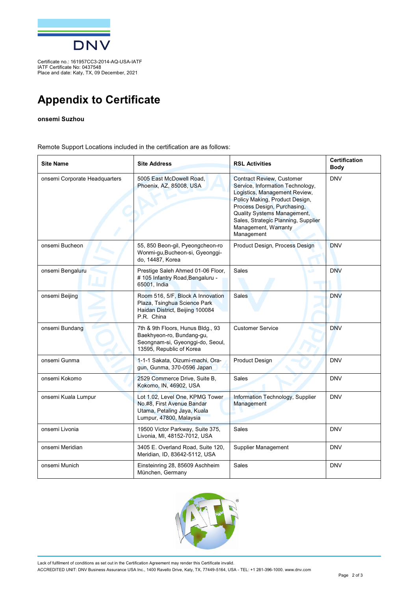

Certificate no.: 161957CC3-2014-AQ-USA-IATF IATF Certificate No: 0437548 Place and date: Katy, TX, 09 December, 2021

## **Appendix to Certificate**

#### **onsemi Suzhou**

Remote Support Locations included in the certification are as follows:

| <b>Site Name</b>              | <b>Site Address</b>                                                                                                            | <b>RSL Activities</b>                                                                                                                                                                                                                                                              | <b>Certification</b><br>Body |
|-------------------------------|--------------------------------------------------------------------------------------------------------------------------------|------------------------------------------------------------------------------------------------------------------------------------------------------------------------------------------------------------------------------------------------------------------------------------|------------------------------|
| onsemi Corporate Headquarters | 5005 East McDowell Road,<br>Phoenix, AZ, 85008, USA                                                                            | <b>Contract Review, Customer</b><br>Service, Information Technology,<br>Logistics, Management Review,<br>Policy Making, Product Design,<br>Process Design, Purchasing,<br>Quality Systems Management,<br>Sales, Strategic Planning, Supplier<br>Management, Warranty<br>Management | <b>DNV</b>                   |
| onsemi Bucheon                | 55, 850 Beon-gil, Pyeongcheon-ro<br>Wonmi-gu, Bucheon-si, Gyeonggi-<br>do, 14487, Korea                                        | Product Design, Process Design                                                                                                                                                                                                                                                     | <b>DNV</b>                   |
| onsemi Bengaluru              | Prestige Saleh Ahmed 01-06 Floor,<br># 105 Infantry Road, Bengaluru -<br>65001, India                                          | Sales<br>a. M                                                                                                                                                                                                                                                                      | <b>DNV</b>                   |
| onsemi Beijing                | Room 516, 5/F, Block A Innovation<br>Plaza, Tsinghua Science Park<br>Haidan District, Beijing 100084<br>P.R. China             | <b>Sales</b>                                                                                                                                                                                                                                                                       | <b>DNV</b>                   |
| onsemi Bundang                | 7th & 9th Floors, Hunus Bldg., 93<br>Baekhyeon-ro, Bundang-gu,<br>Seongnam-si, Gyeonggi-do, Seoul,<br>13595, Republic of Korea | <b>Customer Service</b>                                                                                                                                                                                                                                                            | <b>DNV</b>                   |
| onsemi Gunma                  | 1-1-1 Sakata, Oizumi-machi, Ora-<br>gun, Gunma, 370-0596 Japan                                                                 | <b>Product Design</b>                                                                                                                                                                                                                                                              | <b>DNV</b>                   |
| onsemi Kokomo                 | 2529 Commerce Drive, Suite B,<br>Kokomo, IN, 46902, USA                                                                        | <b>Sales</b>                                                                                                                                                                                                                                                                       | <b>DNV</b>                   |
| onsemi Kuala Lumpur           | Lot 1.02, Level One, KPMG Tower<br>No.#8, First Avenue Bandar<br>Utama, Petaling Jaya, Kuala<br>Lumpur, 47800, Malaysia        | Information Technology, Supplier<br>Management                                                                                                                                                                                                                                     | <b>DNV</b>                   |
| onsemi Livonia                | 19500 Victor Parkway, Suite 375,<br>Livonia, MI, 48152-7012, USA                                                               | <b>Sales</b>                                                                                                                                                                                                                                                                       | <b>DNV</b>                   |
| onsemi Meridian               | 3405 E. Overland Road, Suite 120,<br>Meridian, ID, 83642-5112, USA                                                             | Supplier Management                                                                                                                                                                                                                                                                | <b>DNV</b>                   |
| onsemi Munich                 | Einsteinring 28, 85609 Aschheim<br>München, Germany                                                                            | <b>Sales</b>                                                                                                                                                                                                                                                                       | <b>DNV</b>                   |